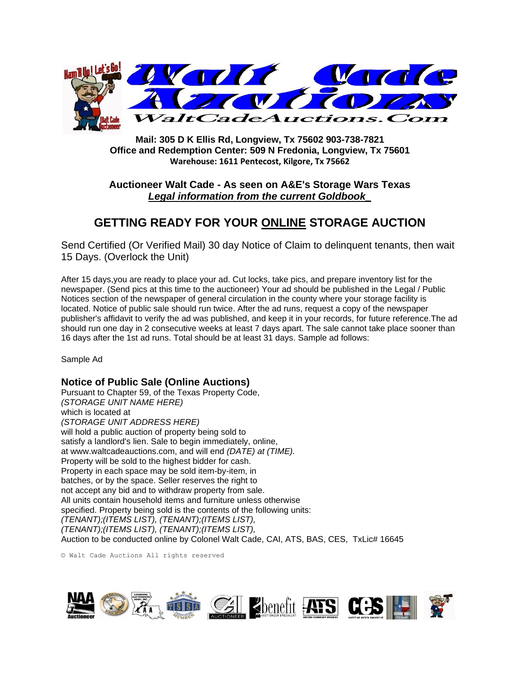

**Mail: 305 D K Ellis Rd, Longview, Tx 75602 903-738-7821 Office and Redemption Center: 509 N Fredonia, Longview, Tx 75601 Warehouse: 1611 Pentecost, Kilgore, Tx 75662**

## **Auctioneer Walt Cade - As seen on A&E's Storage Wars Texas** *Legal information from the current Goldbook\_*

## **GETTING READY FOR YOUR ONLINE STORAGE AUCTION**

Send Certified (Or Verified Mail) 30 day Notice of Claim to delinquent tenants, then wait 15 Days. (Overlock the Unit)

After 15 days,you are ready to place your ad. Cut locks, take pics, and prepare inventory list for the newspaper. (Send pics at this time to the auctioneer) Your ad should be published in the Legal / Public Notices section of the newspaper of general circulation in the county where your storage facility is located. Notice of public sale should run twice. After the ad runs, request a copy of the newspaper publisher's affidavit to verify the ad was published, and keep it in your records, for future reference.The ad should run one day in 2 consecutive weeks at least 7 days apart. The sale cannot take place sooner than 16 days after the 1st ad runs. Total should be at least 31 days. Sample ad follows:

Sample Ad

## **Notice of Public Sale (Online Auctions)**

Pursuant to Chapter 59, of the Texas Property Code, *(STORAGE UNIT NAME HERE)* which is located at *(STORAGE UNIT ADDRESS HERE)* will hold a public auction of property being sold to satisfy a landlord's lien. Sale to begin immediately, online, at www.waltcadeauctions.com, and will end *(DATE) at (TIME).* Property will be sold to the highest bidder for cash. Property in each space may be sold item-by-item, in batches, or by the space. Seller reserves the right to not accept any bid and to withdraw property from sale. All units contain household items and furniture unless otherwise specified. Property being sold is the contents of the following units: *(TENANT);(ITEMS LIST), (TENANT);(ITEMS LIST), (TENANT);(ITEMS LIST), (TENANT);(ITEMS LIST),* Auction to be conducted online by Colonel Walt Cade, CAI, ATS, BAS, CES, TxLic# 16645

© Walt Cade Auctions All rights reserved